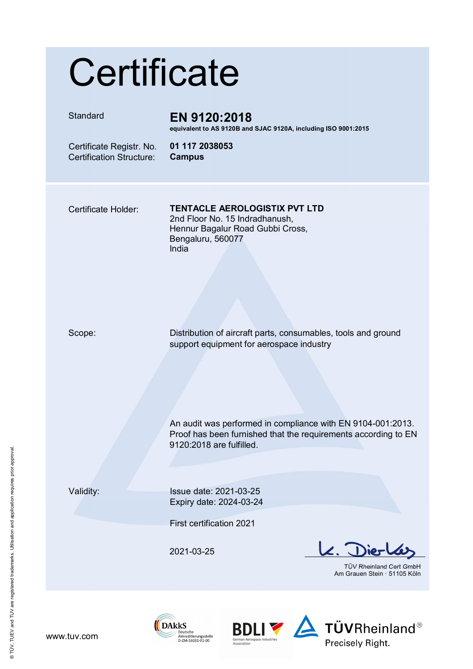# **Certificate**

## Standard **EN 9120:2018**

**equivalent to AS 9120B and SJAC 9120A, including ISO 9001:2015** 

 Certificate Registr. No. Certification Structure:

**01 117 2038053 Campus**

### Certificate Holder: **TENTACLE AEROLOGISTIX PVT LTD**

2nd Floor No. 15 Indradhanush, Hennur Bagalur Road Gubbi Cross, Bengaluru, 560077 India

Scope: Distribution of aircraft parts, consumables, tools and ground support equipment for aerospace industry

> An audit was performed in compliance with EN 9104-001:2013. Proof has been furnished that the requirements according to EN 9120:2018 are fulfilled.

Validity: Issue date: 2021-03-25 Expiry date: 2024-03-24

First certification 2021

2021-03-25

**DAkkS** 

Deutsche Akkreditierungsstelle<br>D-ZM-16031-01-00

 $\mathbf{z}.$ ier

TÜV Rheinland Cert GmbH Am Grauen Stein · 51105 Köln



® TÜV, TUEV and TUV are registered trademarks. Utilisation and application requires prior approval.